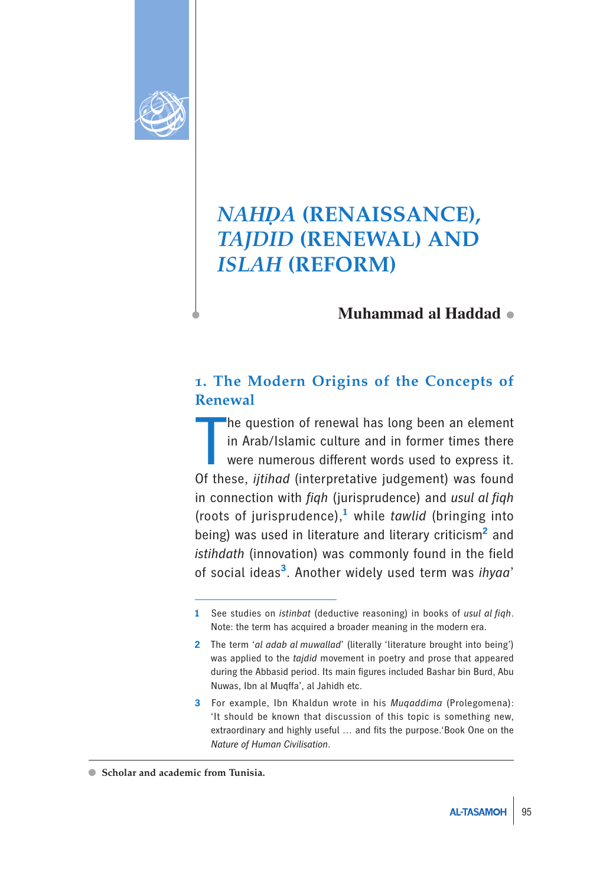

# *NAHḌA* **(RENAISSANCE),**  *TAJDID* **(RENEWAL) AND**  *ISLAH* **(REFORM)**

## **Muhammad al Haddad**

### **1. The Modern Origins of the Concepts of Renewal**

 $\prod_{\alpha \in \mathcal{A}}$ he question of renewal has long been an element in Arab/Islamic culture and in former times there were numerous different words used to express it. Of these, *ijtihad* (interpretative judgement) was found in connection with *fiqh* (jurisprudence) and *usul al fiqh*  (roots of jurisprudence),**<sup>1</sup>** while *tawlid* (bringing into being) was used in literature and literary criticism<sup>2</sup> and *istihdath* (innovation) was commonly found in the field of social ideas**<sup>3</sup>**. Another widely used term was *ihyaa*'

**<sup>1</sup>** See studies on *istinbat* (deductive reasoning) in books of *usul al fiqh*. Note: the term has acquired a broader meaning in the modern era.

**<sup>2</sup>** The term '*al adab al muwallad*' (literally 'literature brought into being') was applied to the *tajdid* movement in poetry and prose that appeared during the Abbasid period. Its main figures included Bashar bin Burd, Abu Nuwas, Ibn al Muqffa', al Jahidh etc.

**<sup>3</sup>** For example, Ibn Khaldun wrote in his *Muqaddima* (Prolegomena): 'It should be known that discussion of this topic is something new, extraordinary and highly useful … and fits the purpose.'Book One on the *Nature of Human Civilisation*.

**Scholar and academic from Tunisia.**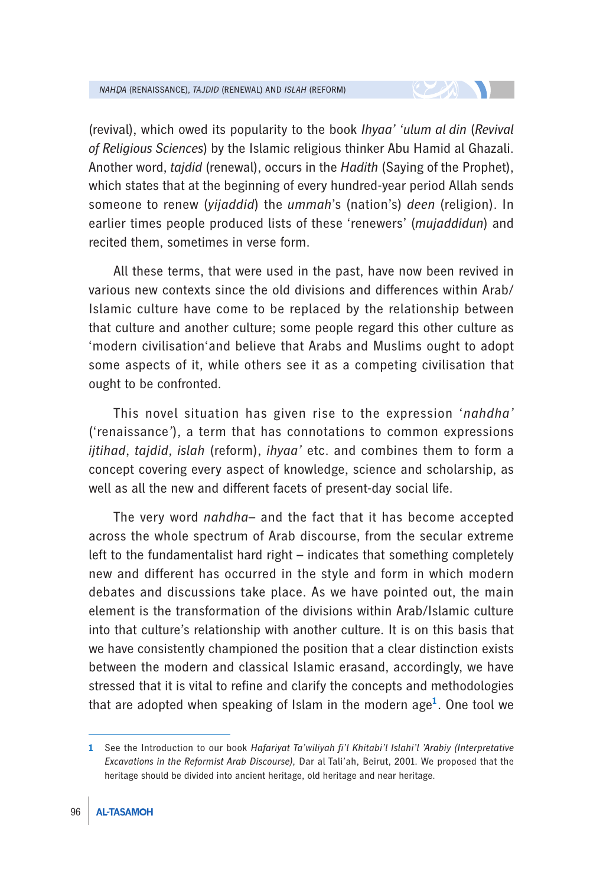(revival), which owed its popularity to the book *Ihyaa' 'ulum al din* (*Revival of Religious Sciences*) by the Islamic religious thinker Abu Hamid al Ghazali. Another word, *tajdid* (renewal), occurs in the *Hadith* (Saying of the Prophet), which states that at the beginning of every hundred-year period Allah sends someone to renew (*yijaddid*) the *ummah*'s (nation's) *deen* (religion). In earlier times people produced lists of these 'renewers' (*mujaddidun*) and recited them, sometimes in verse form.

All these terms, that were used in the past, have now been revived in various new contexts since the old divisions and differences within Arab/ Islamic culture have come to be replaced by the relationship between that culture and another culture; some people regard this other culture as 'modern civilisation'and believe that Arabs and Muslims ought to adopt some aspects of it, while others see it as a competing civilisation that ought to be confronted.

This novel situation has given rise to the expression '*nahdha'* ('renaissance*'*), a term that has connotations to common expressions *ijtihad*, *tajdid*, *islah* (reform), *ihyaa'* etc. and combines them to form a concept covering every aspect of knowledge, science and scholarship, as well as all the new and different facets of present-day social life.

The very word *nahdha*– and the fact that it has become accepted across the whole spectrum of Arab discourse, from the secular extreme left to the fundamentalist hard right – indicates that something completely new and different has occurred in the style and form in which modern debates and discussions take place. As we have pointed out, the main element is the transformation of the divisions within Arab/Islamic culture into that culture's relationship with another culture. It is on this basis that we have consistently championed the position that a clear distinction exists between the modern and classical Islamic erasand, accordingly, we have stressed that it is vital to refine and clarify the concepts and methodologies that are adopted when speaking of Islam in the modern age**<sup>1</sup>** . One tool we

**<sup>1</sup>** See the Introduction to our book *Hafariyat Ta'wiliyah fi'l Khitabi'l Islahi'l 'Arabiy (Interpretative Excavations in the Reformist Arab Discourse),* Dar al Tali'ah, Beirut, 2001. We proposed that the heritage should be divided into ancient heritage, old heritage and near heritage.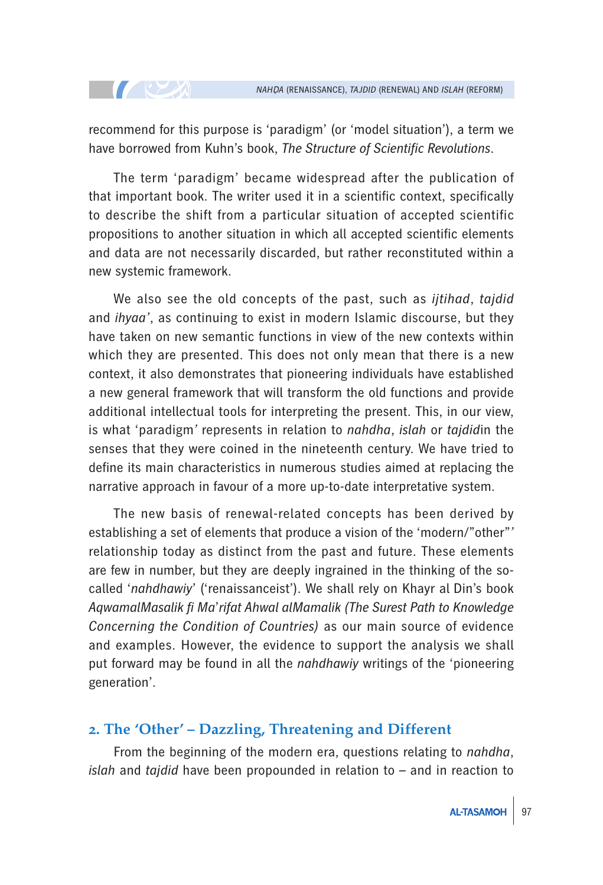recommend for this purpose is 'paradigm' (or 'model situation'), a term we have borrowed from Kuhn's book, *The Structure of Scientific Revolutions*.

**TELEVISION** 

The term 'paradigm' became widespread after the publication of that important book. The writer used it in a scientific context, specifically to describe the shift from a particular situation of accepted scientific propositions to another situation in which all accepted scientific elements and data are not necessarily discarded, but rather reconstituted within a new systemic framework.

We also see the old concepts of the past, such as *ijtihad*, *tajdid* and *ihyaa'*, as continuing to exist in modern Islamic discourse, but they have taken on new semantic functions in view of the new contexts within which they are presented. This does not only mean that there is a new context, it also demonstrates that pioneering individuals have established a new general framework that will transform the old functions and provide additional intellectual tools for interpreting the present. This, in our view, is what 'paradigm*'* represents in relation to *nahdha*, *islah* or *tajdid*in the senses that they were coined in the nineteenth century. We have tried to define its main characteristics in numerous studies aimed at replacing the narrative approach in favour of a more up-to-date interpretative system.

The new basis of renewal-related concepts has been derived by establishing a set of elements that produce a vision of the 'modern/"other"*'*  relationship today as distinct from the past and future. These elements are few in number, but they are deeply ingrained in the thinking of the socalled '*nahdhawiy*' ('renaissanceist'). We shall rely on Khayr al Din's book *AqwamalMasalik fi Ma*'*rifat Ahwal alMamalik (The Surest Path to Knowledge Concerning the Condition of Countries)* as our main source of evidence and examples. However, the evidence to support the analysis we shall put forward may be found in all the *nahdhawiy* writings of the 'pioneering generation'.

#### **2. The 'Other' – Dazzling, Threatening and Different**

From the beginning of the modern era, questions relating to *nahdha*, *islah* and *tajdid* have been propounded in relation to – and in reaction to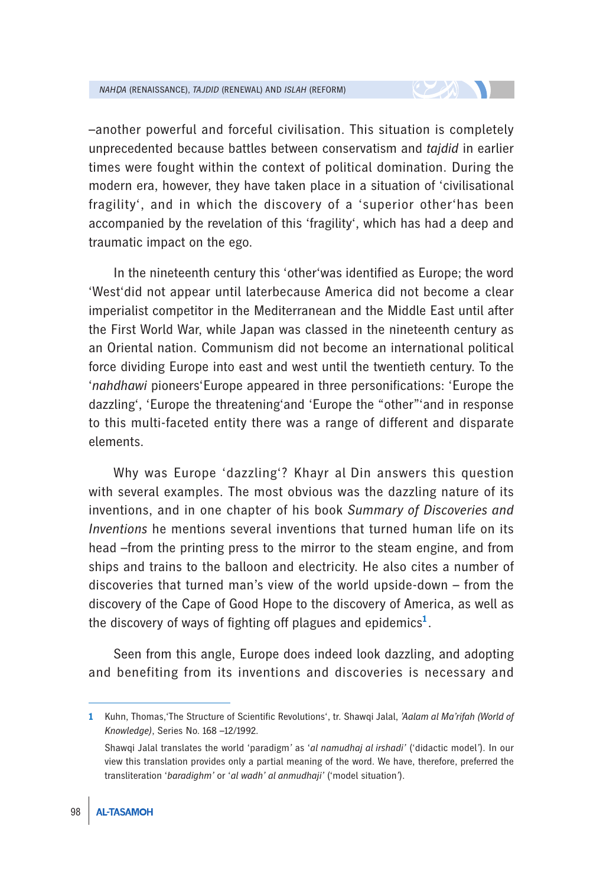–another powerful and forceful civilisation. This situation is completely unprecedented because battles between conservatism and *tajdid* in earlier times were fought within the context of political domination. During the modern era, however, they have taken place in a situation of 'civilisational fragility', and in which the discovery of a 'superior other'has been accompanied by the revelation of this 'fragility', which has had a deep and traumatic impact on the ego.

In the nineteenth century this 'other'was identified as Europe; the word 'West'did not appear until laterbecause America did not become a clear imperialist competitor in the Mediterranean and the Middle East until after the First World War, while Japan was classed in the nineteenth century as an Oriental nation. Communism did not become an international political force dividing Europe into east and west until the twentieth century. To the '*nahdhawi* pioneers'Europe appeared in three personifications: 'Europe the dazzling', 'Europe the threatening'and 'Europe the "other"'and in response to this multi-faceted entity there was a range of different and disparate elements.

Why was Europe 'dazzling'? Khayr al Din answers this question with several examples. The most obvious was the dazzling nature of its inventions, and in one chapter of his book *Summary of Discoveries and Inventions* he mentions several inventions that turned human life on its head –from the printing press to the mirror to the steam engine, and from ships and trains to the balloon and electricity. He also cites a number of discoveries that turned man's view of the world upside-down – from the discovery of the Cape of Good Hope to the discovery of America, as well as the discovery of ways of fighting off plagues and epidemics**<sup>1</sup>** .

Seen from this angle, Europe does indeed look dazzling, and adopting and benefiting from its inventions and discoveries is necessary and

**<sup>1</sup>** Kuhn, Thomas,'The Structure of Scientific Revolutions', tr. Shawqi Jalal, *'Aalam al Ma'rifah (World of Knowledge)*, Series No. 168 –12/1992.

Shawqi Jalal translates the world 'paradigm*'* as '*al namudhaj al irshadi'* ('didactic model*'*). In our view this translation provides only a partial meaning of the word. We have, therefore, preferred the transliteration '*baradighm'* or '*al wadh' al anmudhaji'* ('model situation*'*).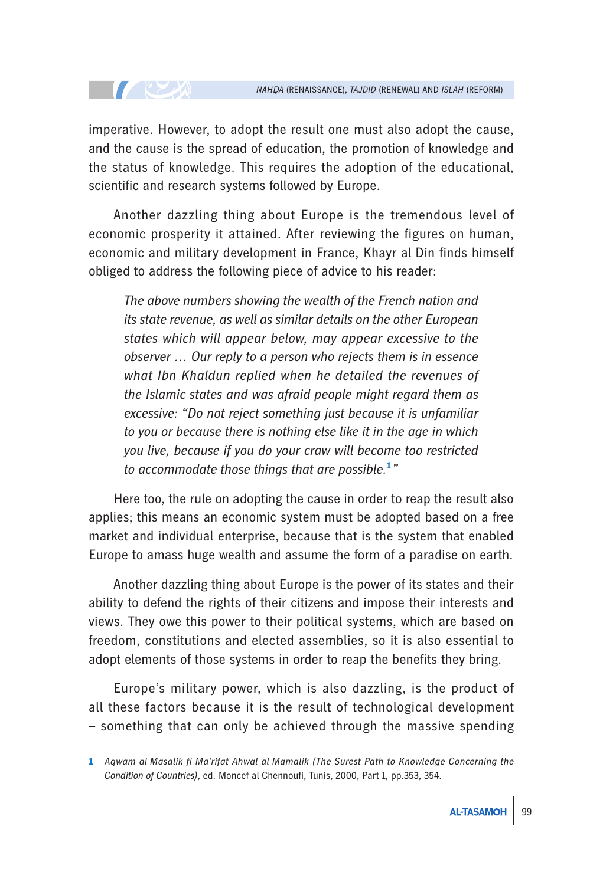imperative. However, to adopt the result one must also adopt the cause, and the cause is the spread of education, the promotion of knowledge and the status of knowledge. This requires the adoption of the educational, scientific and research systems followed by Europe.

**TELEVISION** 

Another dazzling thing about Europe is the tremendous level of economic prosperity it attained. After reviewing the figures on human, economic and military development in France, Khayr al Din finds himself obliged to address the following piece of advice to his reader:

*The above numbers showing the wealth of the French nation and its state revenue, as well as similar details on the other European states which will appear below, may appear excessive to the observer … Our reply to a person who rejects them is in essence what Ibn Khaldun replied when he detailed the revenues of the Islamic states and was afraid people might regard them as excessive: "Do not reject something just because it is unfamiliar to you or because there is nothing else like it in the age in which you live, because if you do your craw will become too restricted to accommodate those things that are possible.***<sup>1</sup>** *"*

Here too, the rule on adopting the cause in order to reap the result also applies; this means an economic system must be adopted based on a free market and individual enterprise, because that is the system that enabled Europe to amass huge wealth and assume the form of a paradise on earth.

Another dazzling thing about Europe is the power of its states and their ability to defend the rights of their citizens and impose their interests and views. They owe this power to their political systems, which are based on freedom, constitutions and elected assemblies, so it is also essential to adopt elements of those systems in order to reap the benefits they bring.

Europe's military power, which is also dazzling, is the product of all these factors because it is the result of technological development – something that can only be achieved through the massive spending

**<sup>1</sup>** *Aqwam al Masalik fi Ma'rifat Ahwal al Mamalik (The Surest Path to Knowledge Concerning the Condition of Countries)*, ed. Moncef al Chennoufi, Tunis, 2000, Part 1, pp.353, 354.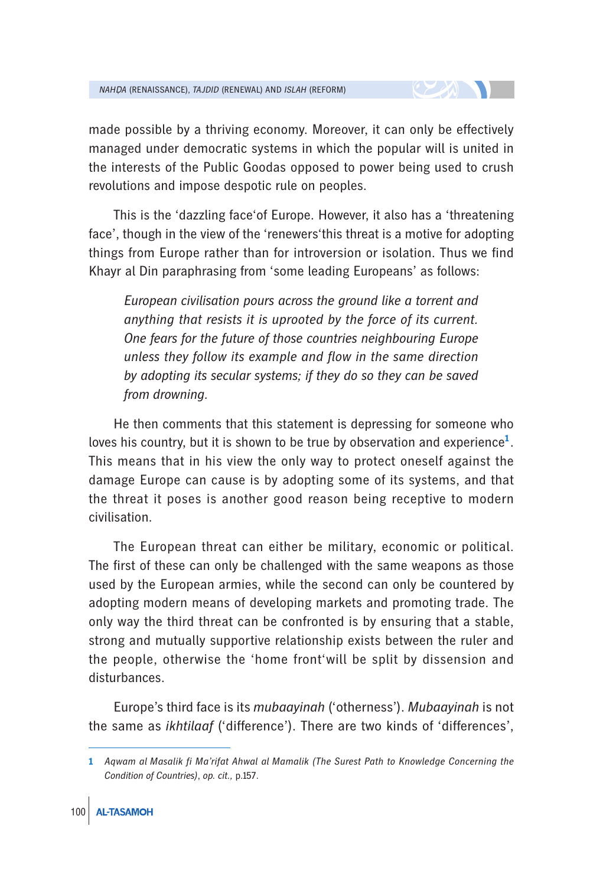made possible by a thriving economy. Moreover, it can only be effectively managed under democratic systems in which the popular will is united in the interests of the Public Goodas opposed to power being used to crush revolutions and impose despotic rule on peoples.

This is the 'dazzling face'of Europe. However, it also has a 'threatening face', though in the view of the 'renewers'this threat is a motive for adopting things from Europe rather than for introversion or isolation. Thus we find Khayr al Din paraphrasing from 'some leading Europeans' as follows:

*European civilisation pours across the ground like a torrent and anything that resists it is uprooted by the force of its current. One fears for the future of those countries neighbouring Europe unless they follow its example and flow in the same direction by adopting its secular systems; if they do so they can be saved from drowning.*

He then comments that this statement is depressing for someone who loves his country, but it is shown to be true by observation and experience**<sup>1</sup>** . This means that in his view the only way to protect oneself against the damage Europe can cause is by adopting some of its systems, and that the threat it poses is another good reason being receptive to modern civilisation.

The European threat can either be military, economic or political. The first of these can only be challenged with the same weapons as those used by the European armies, while the second can only be countered by adopting modern means of developing markets and promoting trade. The only way the third threat can be confronted is by ensuring that a stable, strong and mutually supportive relationship exists between the ruler and the people, otherwise the 'home front'will be split by dissension and disturbances.

Europe's third face is its *mubaayinah* ('otherness'). *Mubaayinah* is not the same as *ikhtilaaf* ('difference'). There are two kinds of 'differences',

**<sup>1</sup>** *Aqwam al Masalik fi Ma'rifat Ahwal al Mamalik (The Surest Path to Knowledge Concerning the Condition of Countries)*, *op. cit.,* p.157.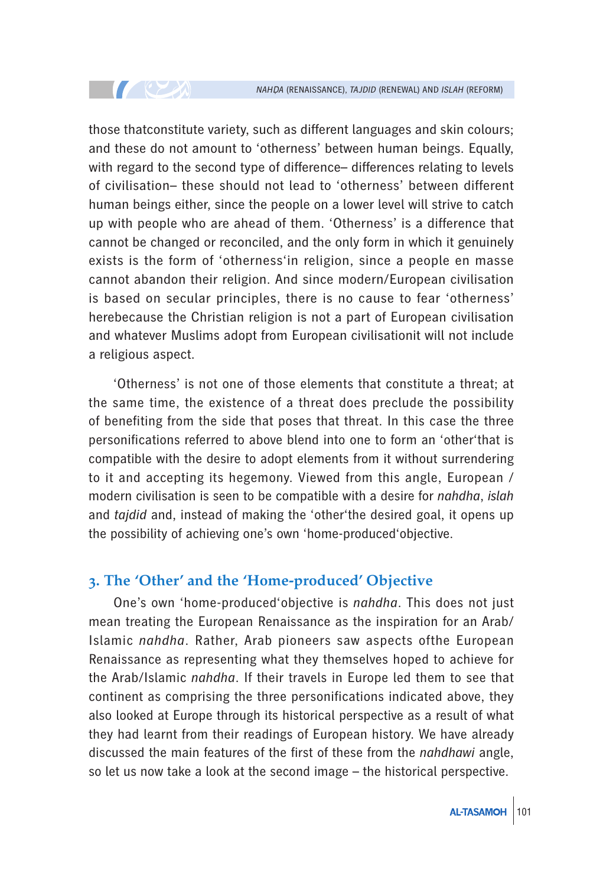those thatconstitute variety, such as different languages and skin colours; and these do not amount to 'otherness' between human beings. Equally, with regard to the second type of difference– differences relating to levels of civilisation– these should not lead to 'otherness' between different human beings either, since the people on a lower level will strive to catch up with people who are ahead of them. 'Otherness' is a difference that cannot be changed or reconciled, and the only form in which it genuinely exists is the form of 'otherness'in religion, since a people en masse cannot abandon their religion. And since modern/European civilisation is based on secular principles, there is no cause to fear 'otherness' herebecause the Christian religion is not a part of European civilisation and whatever Muslims adopt from European civilisationit will not include a religious aspect.

**TELESCOPE** 

'Otherness' is not one of those elements that constitute a threat; at the same time, the existence of a threat does preclude the possibility of benefiting from the side that poses that threat. In this case the three personifications referred to above blend into one to form an 'other'that is compatible with the desire to adopt elements from it without surrendering to it and accepting its hegemony. Viewed from this angle, European / modern civilisation is seen to be compatible with a desire for *nahdha*, *islah* and *tajdid* and, instead of making the 'other'the desired goal, it opens up the possibility of achieving one's own 'home-produced'objective.

#### **3. The 'Other' and the 'Home-produced' Objective**

One's own 'home-produced'objective is *nahdha*. This does not just mean treating the European Renaissance as the inspiration for an Arab/ Islamic *nahdha*. Rather, Arab pioneers saw aspects ofthe European Renaissance as representing what they themselves hoped to achieve for the Arab/Islamic *nahdha*. If their travels in Europe led them to see that continent as comprising the three personifications indicated above, they also looked at Europe through its historical perspective as a result of what they had learnt from their readings of European history. We have already discussed the main features of the first of these from the *nahdhawi* angle, so let us now take a look at the second image – the historical perspective.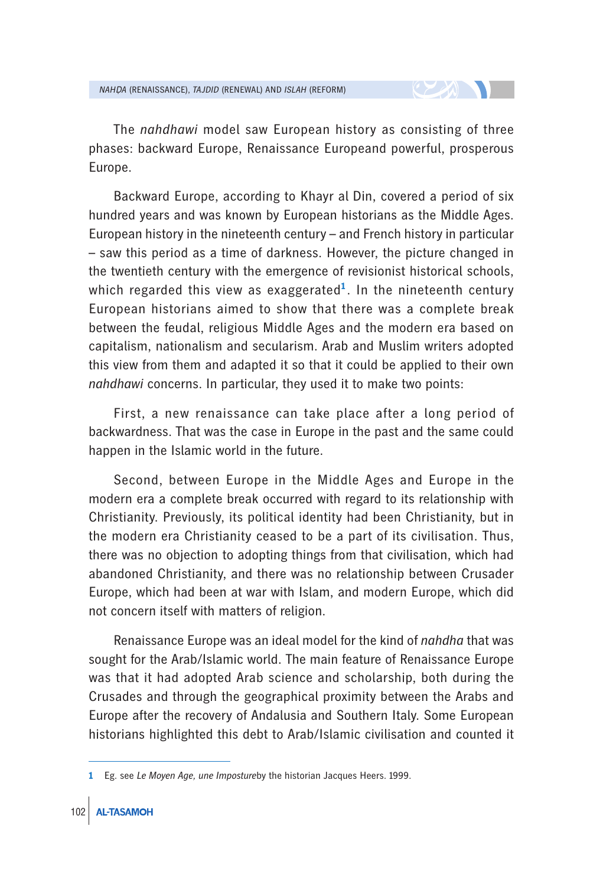The *nahdhawi* model saw European history as consisting of three phases: backward Europe, Renaissance Europeand powerful, prosperous Europe.

Backward Europe, according to Khayr al Din, covered a period of six hundred years and was known by European historians as the Middle Ages. European history in the nineteenth century – and French history in particular – saw this period as a time of darkness. However, the picture changed in the twentieth century with the emergence of revisionist historical schools, which regarded this view as exaggerated**<sup>1</sup>**. In the nineteenth century European historians aimed to show that there was a complete break between the feudal, religious Middle Ages and the modern era based on capitalism, nationalism and secularism. Arab and Muslim writers adopted this view from them and adapted it so that it could be applied to their own *nahdhawi* concerns. In particular, they used it to make two points:

First, a new renaissance can take place after a long period of backwardness. That was the case in Europe in the past and the same could happen in the Islamic world in the future.

Second, between Europe in the Middle Ages and Europe in the modern era a complete break occurred with regard to its relationship with Christianity. Previously, its political identity had been Christianity, but in the modern era Christianity ceased to be a part of its civilisation. Thus, there was no objection to adopting things from that civilisation, which had abandoned Christianity, and there was no relationship between Crusader Europe, which had been at war with Islam, and modern Europe, which did not concern itself with matters of religion.

Renaissance Europe was an ideal model for the kind of *nahdha* that was sought for the Arab/Islamic world. The main feature of Renaissance Europe was that it had adopted Arab science and scholarship, both during the Crusades and through the geographical proximity between the Arabs and Europe after the recovery of Andalusia and Southern Italy. Some European historians highlighted this debt to Arab/Islamic civilisation and counted it

**<sup>1</sup>** Eg. see *Le Moyen Age, une Imposture*by the historian Jacques Heers. 1999.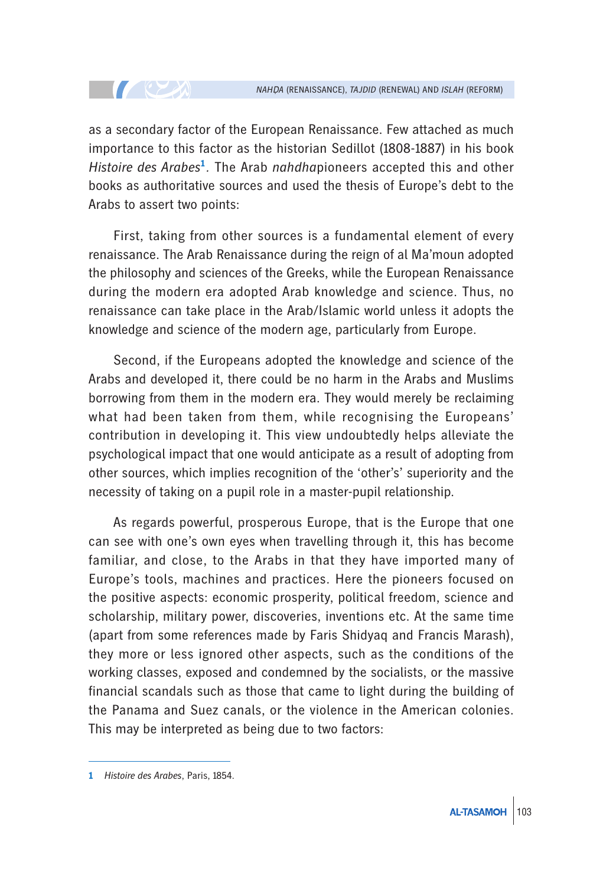as a secondary factor of the European Renaissance. Few attached as much importance to this factor as the historian Sedillot (1808-1887) in his book *Histoire des Arabes***<sup>1</sup>***.* The Arab *nahdha*pioneers accepted this and other books as authoritative sources and used the thesis of Europe's debt to the Arabs to assert two points:

First, taking from other sources is a fundamental element of every renaissance. The Arab Renaissance during the reign of al Ma'moun adopted the philosophy and sciences of the Greeks, while the European Renaissance during the modern era adopted Arab knowledge and science. Thus, no renaissance can take place in the Arab/Islamic world unless it adopts the knowledge and science of the modern age, particularly from Europe.

Second, if the Europeans adopted the knowledge and science of the Arabs and developed it, there could be no harm in the Arabs and Muslims borrowing from them in the modern era. They would merely be reclaiming what had been taken from them, while recognising the Europeans' contribution in developing it. This view undoubtedly helps alleviate the psychological impact that one would anticipate as a result of adopting from other sources, which implies recognition of the 'other's' superiority and the necessity of taking on a pupil role in a master-pupil relationship.

As regards powerful, prosperous Europe, that is the Europe that one can see with one's own eyes when travelling through it, this has become familiar, and close, to the Arabs in that they have imported many of Europe's tools, machines and practices. Here the pioneers focused on the positive aspects: economic prosperity, political freedom, science and scholarship, military power, discoveries, inventions etc. At the same time (apart from some references made by Faris Shidyaq and Francis Marash), they more or less ignored other aspects, such as the conditions of the working classes, exposed and condemned by the socialists, or the massive financial scandals such as those that came to light during the building of the Panama and Suez canals, or the violence in the American colonies. This may be interpreted as being due to two factors:

**TELEVISION** 

**<sup>1</sup>** *Histoire des Arabes*, Paris, 1854.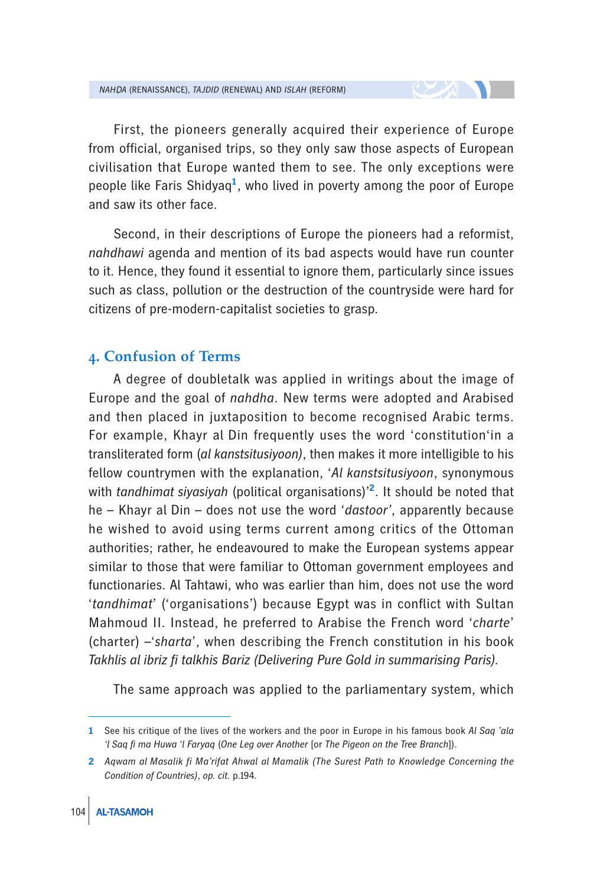First, the pioneers generally acquired their experience of Europe from official, organised trips, so they only saw those aspects of European civilisation that Europe wanted them to see. The only exceptions were people like Faris Shidyaq**<sup>1</sup>** , who lived in poverty among the poor of Europe and saw its other face.

Second, in their descriptions of Europe the pioneers had a reformist, *nahdhawi* agenda and mention of its bad aspects would have run counter to it. Hence, they found it essential to ignore them, particularly since issues such as class, pollution or the destruction of the countryside were hard for citizens of pre-modern-capitalist societies to grasp.

#### **4. Confusion of Terms**

A degree of doubletalk was applied in writings about the image of Europe and the goal of *nahdha*. New terms were adopted and Arabised and then placed in juxtaposition to become recognised Arabic terms. For example, Khayr al Din frequently uses the word 'constitution'in a transliterated form (*al kanstsitusiyoon)*, then makes it more intelligible to his fellow countrymen with the explanation, '*Al kanstsitusiyoon*, synonymous with *tandhimat siyasiyah* (political organisations)'**<sup>2</sup>** . It should be noted that he – Khayr al Din – does not use the word '*dastoor'*, apparently because he wished to avoid using terms current among critics of the Ottoman authorities; rather, he endeavoured to make the European systems appear similar to those that were familiar to Ottoman government employees and functionaries. Al Tahtawi, who was earlier than him, does not use the word '*tandhimat*' ('organisations') because Egypt was in conflict with Sultan Mahmoud II. Instead, he preferred to Arabise the French word '*charte*' (charter) –'*sharta*', when describing the French constitution in his book *Takhlis al ibriz fi talkhis Bariz (Delivering Pure Gold in summarising Paris).*

The same approach was applied to the parliamentary system, which

**<sup>1</sup>** See his critique of the lives of the workers and the poor in Europe in his famous book *Al Saq 'ala 'l Saq fi ma Huwa 'l Faryaq* (*One Leg over Another* [or *The Pigeon on the Tree Branch*]).

**<sup>2</sup>** *Aqwam al Masalik fi Ma'rifat Ahwal al Mamalik (The Surest Path to Knowledge Concerning the Condition of Countries)*, *op. cit.* p.194.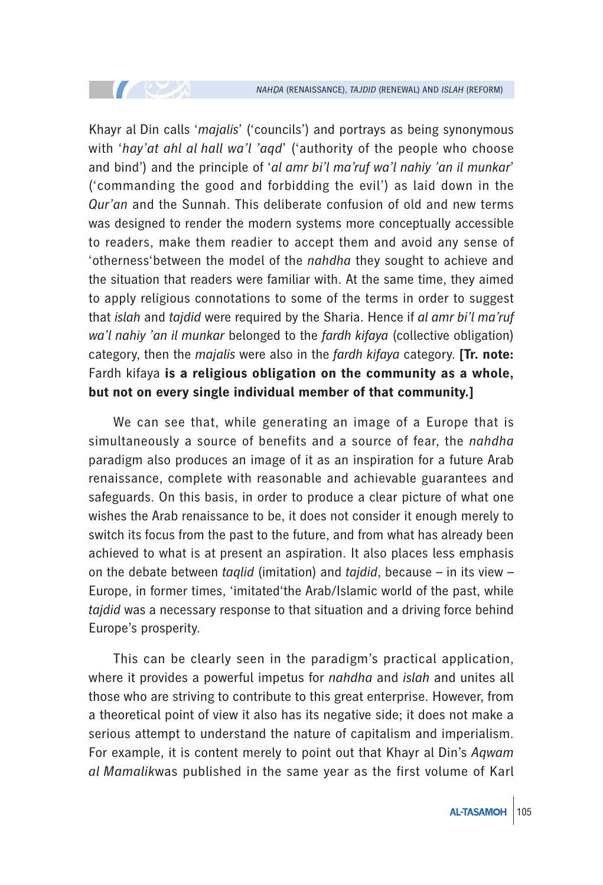Khayr al Din calls '*majalis*' ('councils') and portrays as being synonymous with '*hay'at ahl al hall wa'l 'aqd*' ('authority of the people who choose and bind') and the principle of '*al amr bi'l ma'ruf wa'l nahiy 'an il munkar*' ('commanding the good and forbidding the evil') as laid down in the *Qur'an* and the Sunnah. This deliberate confusion of old and new terms was designed to render the modern systems more conceptually accessible to readers, make them readier to accept them and avoid any sense of 'otherness'between the model of the *nahdha* they sought to achieve and the situation that readers were familiar with. At the same time, they aimed to apply religious connotations to some of the terms in order to suggest that *islah* and *tajdid* were required by the Sharia. Hence if *al amr bi'l ma'ruf wa'l nahiy 'an il munkar* belonged to the *fardh kifaya* (collective obligation) category, then the *majalis* were also in the *fardh kifaya* category. **[Tr. note:**  Fardh kifaya **is a religious obligation on the community as a whole, but not on every single individual member of that community.]**

**TELEVISION** 

We can see that, while generating an image of a Europe that is simultaneously a source of benefits and a source of fear, the *nahdha* paradigm also produces an image of it as an inspiration for a future Arab renaissance, complete with reasonable and achievable guarantees and safeguards. On this basis, in order to produce a clear picture of what one wishes the Arab renaissance to be, it does not consider it enough merely to switch its focus from the past to the future, and from what has already been achieved to what is at present an aspiration. It also places less emphasis on the debate between *taqlid* (imitation) and *tajdid*, because – in its view – Europe, in former times, 'imitated'the Arab/Islamic world of the past, while *tajdid* was a necessary response to that situation and a driving force behind Europe's prosperity.

This can be clearly seen in the paradigm's practical application, where it provides a powerful impetus for *nahdha* and *islah* and unites all those who are striving to contribute to this great enterprise. However, from a theoretical point of view it also has its negative side; it does not make a serious attempt to understand the nature of capitalism and imperialism. For example, it is content merely to point out that Khayr al Din's *Aqwam al Mamalik*was published in the same year as the first volume of Karl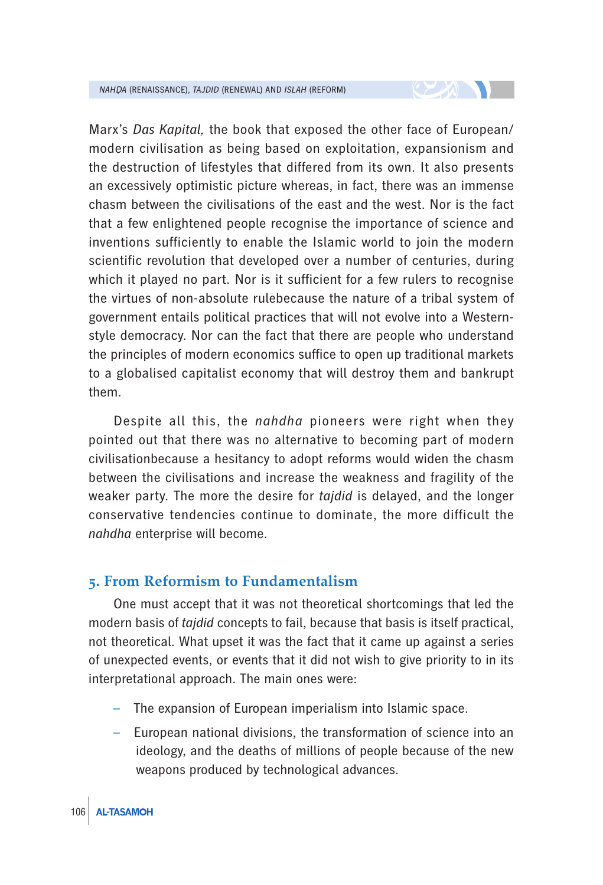Marx's *Das Kapital*, the book that exposed the other face of European/ modern civilisation as being based on exploitation, expansionism and the destruction of lifestyles that differed from its own. It also presents an excessively optimistic picture whereas, in fact, there was an immense chasm between the civilisations of the east and the west. Nor is the fact that a few enlightened people recognise the importance of science and inventions sufficiently to enable the Islamic world to join the modern scientific revolution that developed over a number of centuries, during which it played no part. Nor is it sufficient for a few rulers to recognise the virtues of non-absolute rulebecause the nature of a tribal system of government entails political practices that will not evolve into a Westernstyle democracy. Nor can the fact that there are people who understand the principles of modern economics suffice to open up traditional markets to a globalised capitalist economy that will destroy them and bankrupt them.

 $\sim$  20  $\sim$ 

Despite all this, the *nahdha* pioneers were right when they pointed out that there was no alternative to becoming part of modern civilisationbecause a hesitancy to adopt reforms would widen the chasm between the civilisations and increase the weakness and fragility of the weaker party. The more the desire for *tajdid* is delayed, and the longer conservative tendencies continue to dominate, the more difficult the *nahdha* enterprise will become.

#### **5. From Reformism to Fundamentalism**

One must accept that it was not theoretical shortcomings that led the modern basis of *tajdid* concepts to fail, because that basis is itself practical, not theoretical. What upset it was the fact that it came up against a series of unexpected events, or events that it did not wish to give priority to in its interpretational approach. The main ones were:

- The expansion of European imperialism into Islamic space.
- European national divisions, the transformation of science into an ideology, and the deaths of millions of people because of the new weapons produced by technological advances.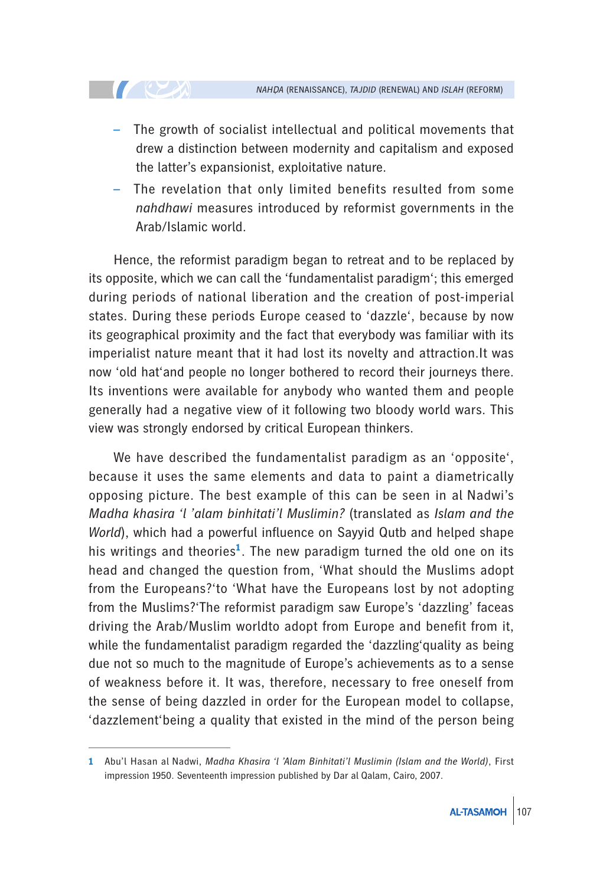– The growth of socialist intellectual and political movements that drew a distinction between modernity and capitalism and exposed the latter's expansionist, exploitative nature.

**CONTROLLER** 

The revelation that only limited benefits resulted from some *nahdhawi* measures introduced by reformist governments in the Arab/Islamic world.

Hence, the reformist paradigm began to retreat and to be replaced by its opposite, which we can call the 'fundamentalist paradigm'; this emerged during periods of national liberation and the creation of post-imperial states. During these periods Europe ceased to 'dazzle', because by now its geographical proximity and the fact that everybody was familiar with its imperialist nature meant that it had lost its novelty and attraction.It was now 'old hat'and people no longer bothered to record their journeys there. Its inventions were available for anybody who wanted them and people generally had a negative view of it following two bloody world wars. This view was strongly endorsed by critical European thinkers.

We have described the fundamentalist paradigm as an 'opposite', because it uses the same elements and data to paint a diametrically opposing picture. The best example of this can be seen in al Nadwi's *Madha khasira 'l 'alam binhitati'l Muslimin?* (translated as *Islam and the World*), which had a powerful influence on Sayyid Qutb and helped shape his writings and theories**<sup>1</sup>**. The new paradigm turned the old one on its head and changed the question from, 'What should the Muslims adopt from the Europeans?'to 'What have the Europeans lost by not adopting from the Muslims?'The reformist paradigm saw Europe's 'dazzling' faceas driving the Arab/Muslim worldto adopt from Europe and benefit from it, while the fundamentalist paradigm regarded the 'dazzling'quality as being due not so much to the magnitude of Europe's achievements as to a sense of weakness before it. It was, therefore, necessary to free oneself from the sense of being dazzled in order for the European model to collapse, 'dazzlement'being a quality that existed in the mind of the person being

**<sup>1</sup>** Abu'l Hasan al Nadwi, *Madha Khasira 'l 'Alam Binhitati'l Muslimin (Islam and the World)*, First impression 1950. Seventeenth impression published by Dar al Qalam, Cairo, 2007.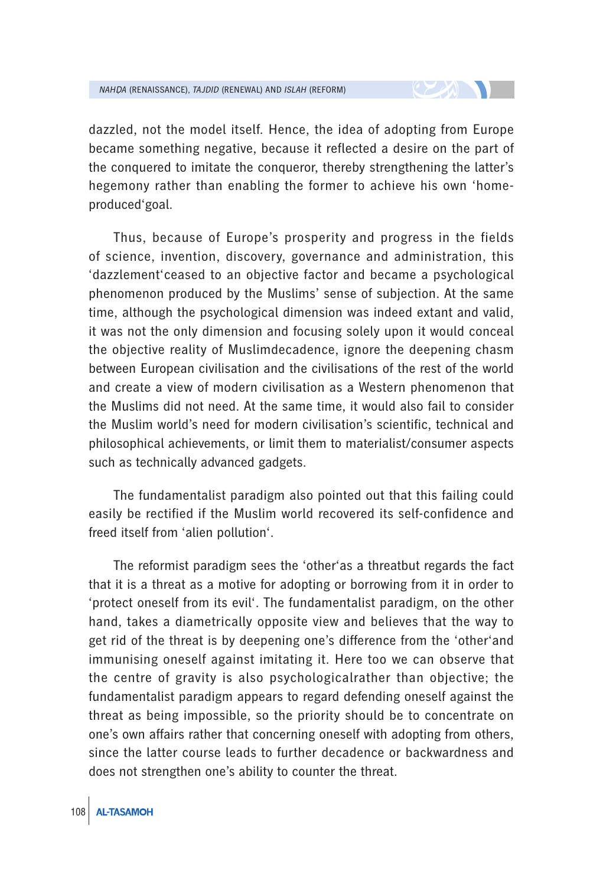dazzled, not the model itself. Hence, the idea of adopting from Europe became something negative, because it reflected a desire on the part of the conquered to imitate the conqueror, thereby strengthening the latter's hegemony rather than enabling the former to achieve his own 'homeproduced'goal.

Thus, because of Europe's prosperity and progress in the fields of science, invention, discovery, governance and administration, this 'dazzlement'ceased to an objective factor and became a psychological phenomenon produced by the Muslims' sense of subjection. At the same time, although the psychological dimension was indeed extant and valid, it was not the only dimension and focusing solely upon it would conceal the objective reality of Muslimdecadence, ignore the deepening chasm between European civilisation and the civilisations of the rest of the world and create a view of modern civilisation as a Western phenomenon that the Muslims did not need. At the same time, it would also fail to consider the Muslim world's need for modern civilisation's scientific, technical and philosophical achievements, or limit them to materialist/consumer aspects such as technically advanced gadgets.

The fundamentalist paradigm also pointed out that this failing could easily be rectified if the Muslim world recovered its self-confidence and freed itself from 'alien pollution'.

The reformist paradigm sees the 'other'as a threatbut regards the fact that it is a threat as a motive for adopting or borrowing from it in order to 'protect oneself from its evil'. The fundamentalist paradigm, on the other hand, takes a diametrically opposite view and believes that the way to get rid of the threat is by deepening one's difference from the 'other'and immunising oneself against imitating it. Here too we can observe that the centre of gravity is also psychologicalrather than objective; the fundamentalist paradigm appears to regard defending oneself against the threat as being impossible, so the priority should be to concentrate on one's own affairs rather that concerning oneself with adopting from others, since the latter course leads to further decadence or backwardness and does not strengthen one's ability to counter the threat.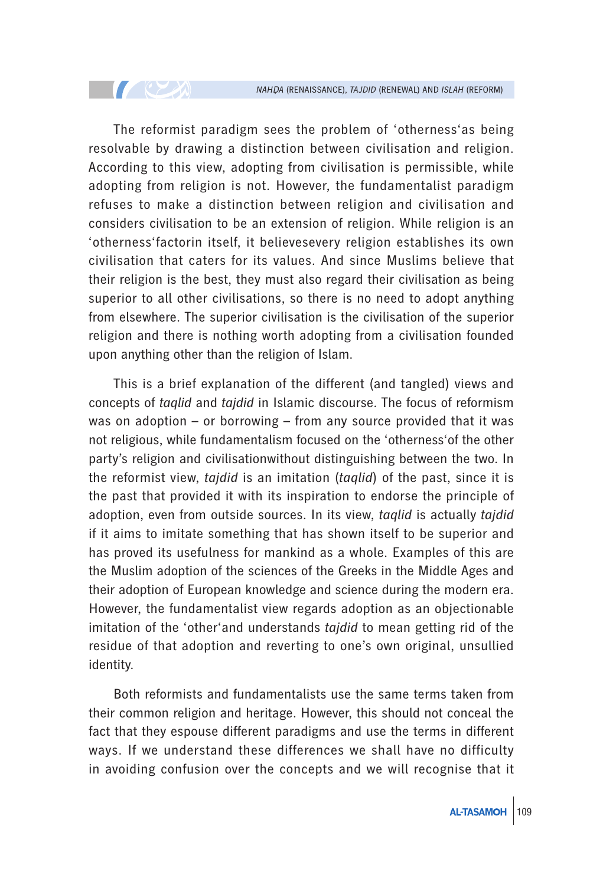The reformist paradigm sees the problem of 'otherness'as being resolvable by drawing a distinction between civilisation and religion. According to this view, adopting from civilisation is permissible, while adopting from religion is not. However, the fundamentalist paradigm refuses to make a distinction between religion and civilisation and considers civilisation to be an extension of religion. While religion is an 'otherness'factorin itself, it believesevery religion establishes its own civilisation that caters for its values. And since Muslims believe that their religion is the best, they must also regard their civilisation as being superior to all other civilisations, so there is no need to adopt anything from elsewhere. The superior civilisation is the civilisation of the superior religion and there is nothing worth adopting from a civilisation founded upon anything other than the religion of Islam.

**CONTROLLER** 

This is a brief explanation of the different (and tangled) views and concepts of *taqlid* and *tajdid* in Islamic discourse. The focus of reformism was on adoption – or borrowing – from any source provided that it was not religious, while fundamentalism focused on the 'otherness'of the other party's religion and civilisationwithout distinguishing between the two. In the reformist view, *tajdid* is an imitation (*taqlid*) of the past, since it is the past that provided it with its inspiration to endorse the principle of adoption, even from outside sources. In its view, *taqlid* is actually *tajdid* if it aims to imitate something that has shown itself to be superior and has proved its usefulness for mankind as a whole. Examples of this are the Muslim adoption of the sciences of the Greeks in the Middle Ages and their adoption of European knowledge and science during the modern era. However, the fundamentalist view regards adoption as an objectionable imitation of the 'other'and understands *tajdid* to mean getting rid of the residue of that adoption and reverting to one's own original, unsullied identity.

Both reformists and fundamentalists use the same terms taken from their common religion and heritage. However, this should not conceal the fact that they espouse different paradigms and use the terms in different ways. If we understand these differences we shall have no difficulty in avoiding confusion over the concepts and we will recognise that it